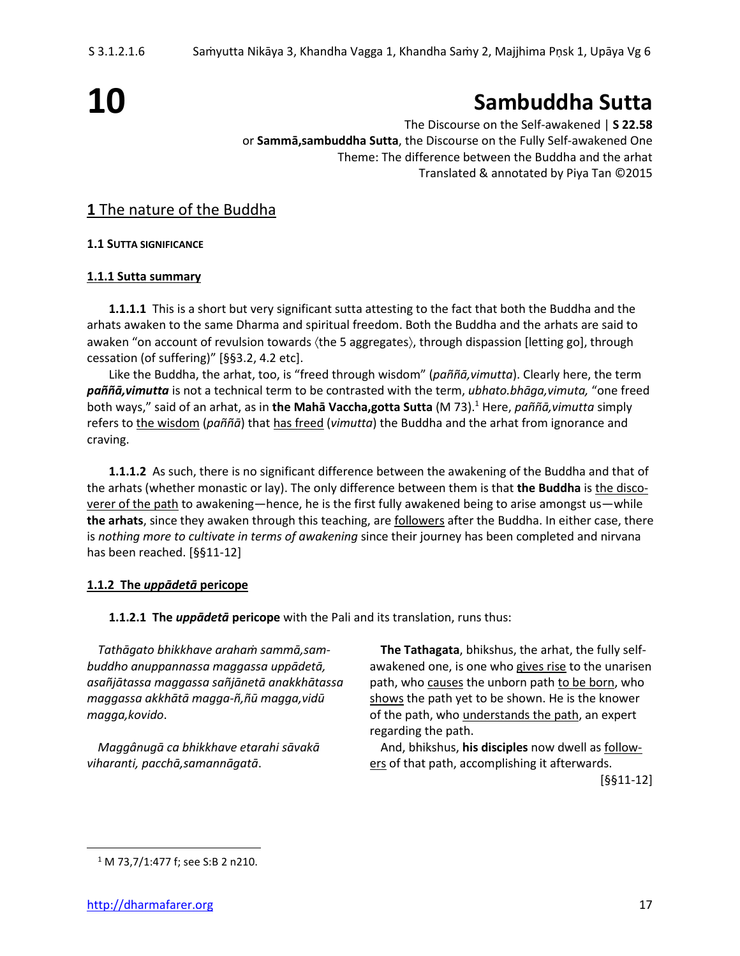# **10**

## **Sambuddha Sutta**

The Discourse on the Self-awakened | **S 22.58** or **Sammā,sambuddha Sutta**, the Discourse on the Fully Self-awakened One Theme: The difference between the Buddha and the arhat Translated & annotated by Piya Tan ©2015

#### **1** The nature of the Buddha

**1.1 SUTTA SIGNIFICANCE**

#### **1.1.1 Sutta summary**

**1.1.1.1** This is a short but very significant sutta attesting to the fact that both the Buddha and the arhats awaken to the same Dharma and spiritual freedom. Both the Buddha and the arhats are said to awaken "on account of revulsion towards (the 5 aggregates), through dispassion [letting go], through cessation (of suffering)" [§§3.2, 4.2 etc].

Like the Buddha, the arhat, too, is "freed through wisdom" (*paññā,vimutta*). Clearly here, the term *paññā,vimutta* is not a technical term to be contrasted with the term, *ubhato.bhāga,vimuta,* "one freed both ways," said of an arhat, as in **the Mahā Vaccha,gotta Sutta** (M 73).<sup>1</sup> Here, *paññā,vimutta* simply refers to the wisdom (*paññā*) that has freed (*vimutta*) the Buddha and the arhat from ignorance and craving.

**1.1.1.2** As such, there is no significant difference between the awakening of the Buddha and that of the arhats (whether monastic or lay). The only difference between them is that **the Buddha** is the discoverer of the path to awakening—hence, he is the first fully awakened being to arise amongst us—while **the arhats**, since they awaken through this teaching, are followers after the Buddha. In either case, there is *nothing more to cultivate in terms of awakening* since their journey has been completed and nirvana has been reached. [§§11-12]

#### **1.1.2 The** *uppādetā* **pericope**

**1.1.2.1 The** *uppādetā* **pericope** with the Pali and its translation, runs thus:

*Tathāgato bhikkhave arahaṁ sammā,sam-* **The Tathagata**, bhikshus, the arhat, the fully self*buddho anuppannassa maggassa uppādetā,* awakened one, is one who gives rise to the unarisen *asañjātassa maggassa sañjānetā anakkhātassa* path, who causes the unborn path to be born, who *maggassa akkhātā magga-ñ,ñū magga,vidū* shows the path yet to be shown. He is the knower *magga,kovido*. of the path, who understands the path, an expert regarding the path.

*Maggânugā ca bhikkhave etarahi sāvakā* And, bhikshus, **his disciples** now dwell as follow*viharanti, pacchā, samannāgatā*. ers ers of that path, accomplishing it afterwards. [§§11-12]

<sup>1</sup> M 73,7/1:477 f; see S:B 2 n210.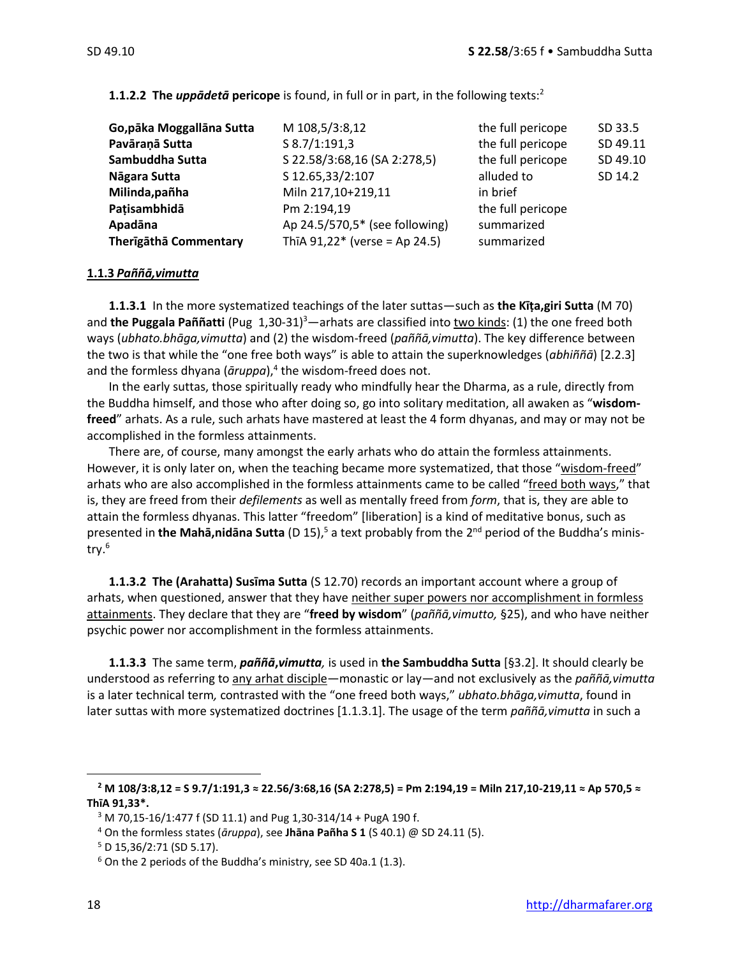| Go, pāka Moggallāna Sutta | M 108,5/3:8,12                  | the full pericope | SD 33.5  |
|---------------------------|---------------------------------|-------------------|----------|
| Pavāraņā Sutta            | S 8.7/1:191,3                   | the full pericope | SD 49.11 |
| Sambuddha Sutta           | S 22.58/3:68,16 (SA 2:278,5)    | the full pericope | SD 49.10 |
| Nāgara Sutta              | S 12.65,33/2:107                | alluded to        | SD 14.2  |
| Milinda, pañha            | Miln 217,10+219,11              | in brief          |          |
| Patisambhidā              | Pm 2:194,19                     | the full pericope |          |
| Apadāna                   | Ap 24.5/570,5* (see following)  | summarized        |          |
| Therīgāthā Commentary     | ThīA $91,22*$ (verse = Ap 24.5) | summarized        |          |

**1.1.2.2 The** *uppādetā* **pericope** is found, in full or in part, in the following texts:<sup>2</sup>

#### **1.1.3** *Paññā,vimutta*

**1.1.3.1** In the more systematized teachings of the later suttas—such as **the Kīṭa,giri Sutta** (M 70) and the Puggala Paññatti (Pug 1,30-31)<sup>3</sup>—arhats are classified into two kinds: (1) the one freed both ways (*ubhato.bhāga,vimutta*) and (2) the wisdom-freed (*paññā,vimutta*). The key difference between the two is that while the "one free both ways" is able to attain the superknowledges (*abhiññā*) [2.2.3] and the formless dhyana (āruppa),<sup>4</sup> the wisdom-freed does not.

In the early suttas, those spiritually ready who mindfully hear the Dharma, as a rule, directly from the Buddha himself, and those who after doing so, go into solitary meditation, all awaken as "**wisdomfreed**" arhats. As a rule, such arhats have mastered at least the 4 form dhyanas, and may or may not be accomplished in the formless attainments.

There are, of course, many amongst the early arhats who do attain the formless attainments. However, it is only later on, when the teaching became more systematized, that those "wisdom-freed" arhats who are also accomplished in the formless attainments came to be called "freed both ways," that is, they are freed from their *defilements* as well as mentally freed from *form*, that is, they are able to attain the formless dhyanas. This latter "freedom" [liberation] is a kind of meditative bonus, such as presented in **the Mahā,nidāna Sutta** (D 15),<sup>5</sup> a text probably from the 2<sup>nd</sup> period of the Buddha's ministry. 6

**1.1.3.2 The (Arahatta) Susīma Sutta** (S 12.70) records an important account where a group of arhats, when questioned, answer that they have neither super powers nor accomplishment in formless attainments. They declare that they are "**freed by wisdom**" (*paññā,vimutto,* §25), and who have neither psychic power nor accomplishment in the formless attainments.

**1.1.3.3** The same term, *paññā***,***vimutta,* is used in **the Sambuddha Sutta** [§3.2]. It should clearly be understood as referring to any arhat disciple—monastic or lay—and not exclusively as the *paññā,vimutta* is a later technical term*,* contrasted with the "one freed both ways," *ubhato.bhāga,vimutta*, found in later suttas with more systematized doctrines [1.1.3.1]. The usage of the term *paññā,vimutta* in such a

**<sup>2</sup> M 108/3:8,12 = S 9.7/1:191,3 ≈ 22.56/3:68,16 (SA 2:278,5) = Pm 2:194,19 = Miln 217,10-219,11 ≈ Ap 570,5 ≈ ThīA 91,33\*.**

 $3$  M 70,15-16/1:477 f (SD 11.1) and Pug 1,30-314/14 + PugA 190 f.

<sup>4</sup> On the formless states (*āruppa*), see **Jhāna Pañha S 1** (S 40.1) @ SD 24.11 (5).

 $5$  D 15,36/2:71 (SD 5.17).

<sup>6</sup> On the 2 periods of the Buddha's ministry, see SD 40a.1 (1.3).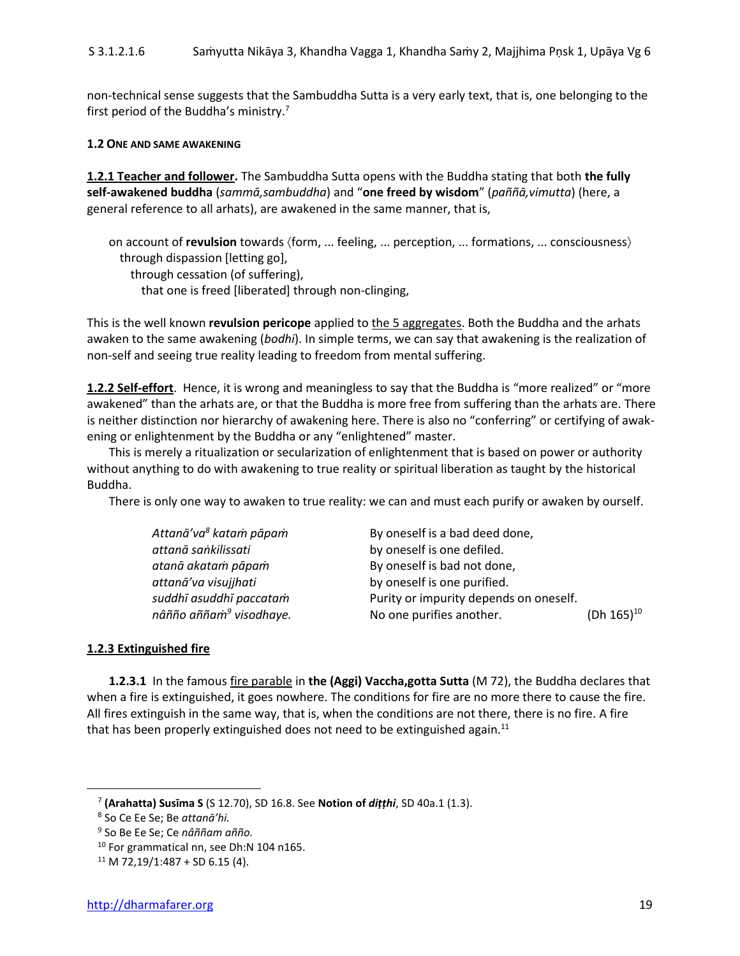non-technical sense suggests that the Sambuddha Sutta is a very early text, that is, one belonging to the first period of the Buddha's ministry.<sup>7</sup>

#### **1.2 ONE AND SAME AWAKENING**

**1.2.1 Teacher and follower.** The Sambuddha Sutta opens with the Buddha stating that both **the fully self-awakened buddha** (*sammā,sambuddha*) and "**one freed by wisdom**" (*paññā,vimutta*) (here, a general reference to all arhats), are awakened in the same manner, that is,

on account of **revulsion** towards (form, ... feeling, ... perception, ... formations, ... consciousness) through dispassion [letting go], through cessation (of suffering),

that one is freed [liberated] through non-clinging,

This is the well known **revulsion pericope** applied to the 5 aggregates. Both the Buddha and the arhats awaken to the same awakening (*bodhi*). In simple terms, we can say that awakening is the realization of non-self and seeing true reality leading to freedom from mental suffering.

**1.2.2 Self-effort**. Hence, it is wrong and meaningless to say that the Buddha is "more realized" or "more awakened" than the arhats are, or that the Buddha is more free from suffering than the arhats are. There is neither distinction nor hierarchy of awakening here. There is also no "conferring" or certifying of awakening or enlightenment by the Buddha or any "enlightened" master.

This is merely a ritualization or secularization of enlightenment that is based on power or authority without anything to do with awakening to true reality or spiritual liberation as taught by the historical Buddha.

There is only one way to awaken to true reality: we can and must each purify or awaken by ourself.

| By oneself is a bad deed done,         |                           |
|----------------------------------------|---------------------------|
| by oneself is one defiled.             |                           |
| By oneself is bad not done,            |                           |
| by oneself is one purified.            |                           |
| Purity or impurity depends on oneself. |                           |
| No one purifies another.               | (Dh $165$ ) <sup>10</sup> |
|                                        |                           |

#### **1.2.3 Extinguished fire**

**1.2.3.1** In the famous fire parable in **the (Aggi) Vaccha,gotta Sutta** (M 72), the Buddha declares that when a fire is extinguished, it goes nowhere. The conditions for fire are no more there to cause the fire. All fires extinguish in the same way, that is, when the conditions are not there, there is no fire. A fire that has been properly extinguished does not need to be extinguished again. $11$ 

<sup>7</sup> **(Arahatta) Susīma S** (S 12.70), SD 16.8. See **Notion of** *diṭṭhi*, SD 40a.1 (1.3).

<sup>8</sup> So Ce Ee Se; Be *attanā'hi.*

<sup>9</sup> So Be Ee Se; Ce *nâññam añño.*

<sup>&</sup>lt;sup>10</sup> For grammatical nn, see Dh:N 104 n165.

 $11$  M 72,19/1:487 + SD 6.15 (4).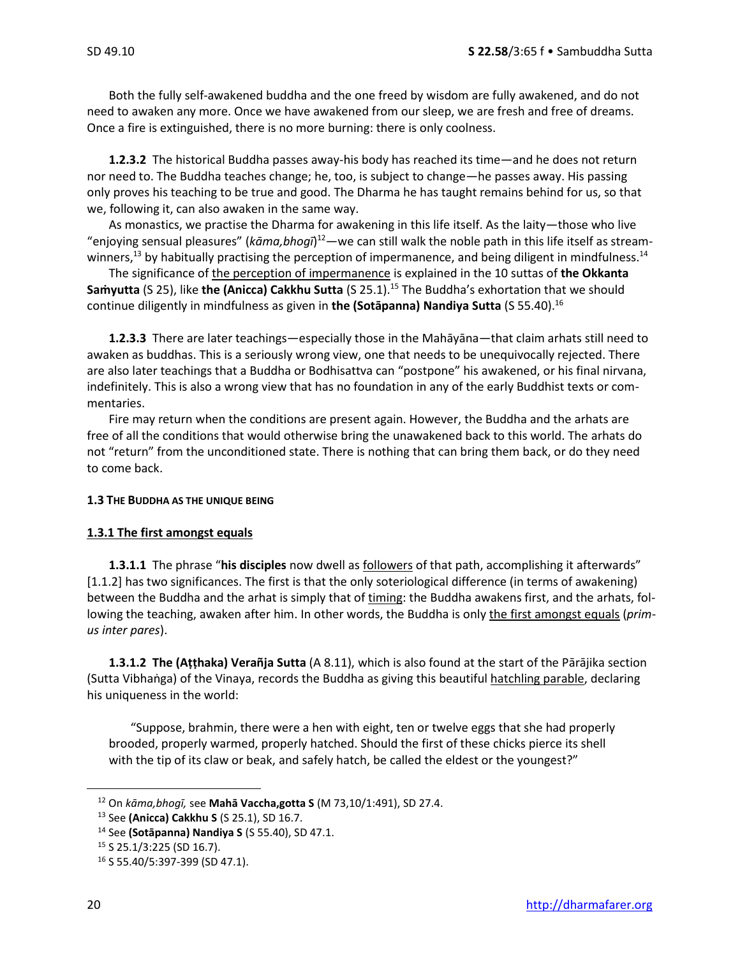Both the fully self-awakened buddha and the one freed by wisdom are fully awakened, and do not need to awaken any more. Once we have awakened from our sleep, we are fresh and free of dreams. Once a fire is extinguished, there is no more burning: there is only coolness.

**1.2.3.2** The historical Buddha passes away-his body has reached its time—and he does not return nor need to. The Buddha teaches change; he, too, is subject to change—he passes away. His passing only proves his teaching to be true and good. The Dharma he has taught remains behind for us, so that we, following it, can also awaken in the same way.

As monastics, we practise the Dharma for awakening in this life itself. As the laity—those who live "enjoying sensual pleasures" (*kāma,bhogī*) <sup>12</sup>—we can still walk the noble path in this life itself as streamwinners,<sup>13</sup> by habitually practising the perception of impermanence, and being diligent in mindfulness.<sup>14</sup>

The significance of the perception of impermanence is explained in the 10 suttas of **the Okkanta Saṁyutta** (S 25), like **the (Anicca) Cakkhu Sutta** (S 25.1).<sup>15</sup> The Buddha's exhortation that we should continue diligently in mindfulness as given in **the (Sotāpanna) Nandiya Sutta** (S 55.40).<sup>16</sup>

**1.2.3.3** There are later teachings—especially those in the Mahāyāna—that claim arhats still need to awaken as buddhas. This is a seriously wrong view, one that needs to be unequivocally rejected. There are also later teachings that a Buddha or Bodhisattva can "postpone" his awakened, or his final nirvana, indefinitely. This is also a wrong view that has no foundation in any of the early Buddhist texts or commentaries.

Fire may return when the conditions are present again. However, the Buddha and the arhats are free of all the conditions that would otherwise bring the unawakened back to this world. The arhats do not "return" from the unconditioned state. There is nothing that can bring them back, or do they need to come back.

#### **1.3 THE BUDDHA AS THE UNIQUE BEING**

#### **1.3.1 The first amongst equals**

**1.3.1.1** The phrase "**his disciples** now dwell as followers of that path, accomplishing it afterwards" [1.1.2] has two significances. The first is that the only soteriological difference (in terms of awakening) between the Buddha and the arhat is simply that of timing: the Buddha awakens first, and the arhats, following the teaching, awaken after him. In other words, the Buddha is only the first amongst equals (*primus inter pares*).

**1.3.1.2 The (Aṭṭhaka) Verañja Sutta** (A 8.11), which is also found at the start of the Pārājika section (Sutta Vibhaṅga) of the Vinaya, records the Buddha as giving this beautiful hatchling parable, declaring his uniqueness in the world:

"Suppose, brahmin, there were a hen with eight, ten or twelve eggs that she had properly brooded, properly warmed, properly hatched. Should the first of these chicks pierce its shell with the tip of its claw or beak, and safely hatch, be called the eldest or the youngest?"

<sup>12</sup> On *kāma,bhogī,* see **Mahā Vaccha,gotta S** (M 73,10/1:491), SD 27.4.

<sup>13</sup> See **(Anicca) Cakkhu S** (S 25.1), SD 16.7.

<sup>14</sup> See **(Sotāpanna) Nandiya S** (S 55.40), SD 47.1.

<sup>15</sup> S 25.1/3:225 (SD 16.7).

<sup>16</sup> S 55.40/5:397-399 (SD 47.1).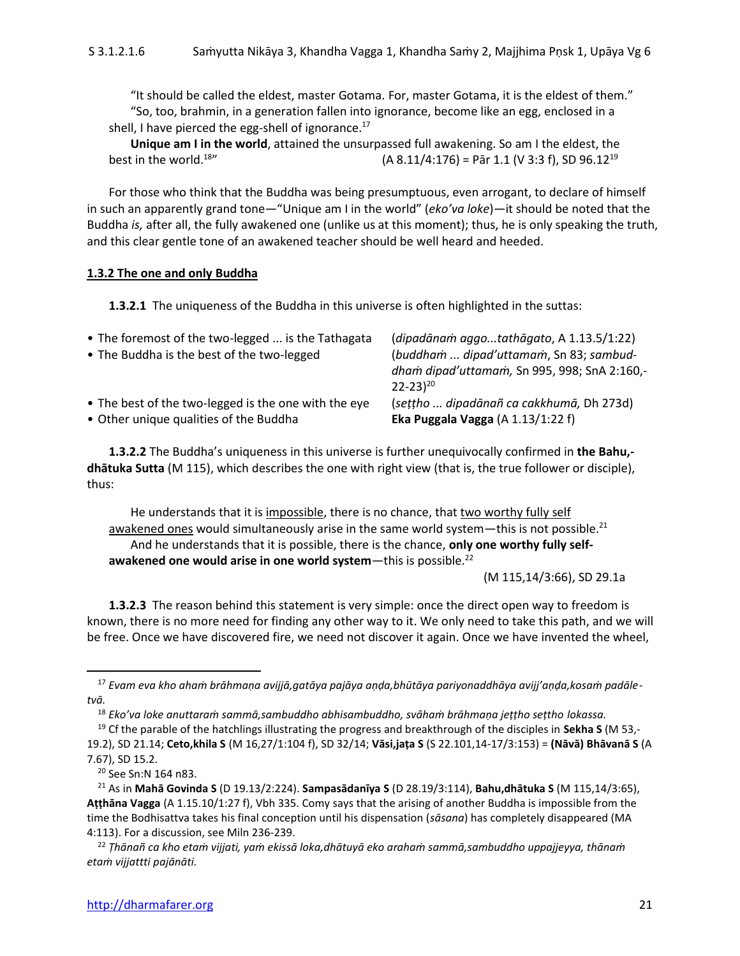"It should be called the eldest, master Gotama. For, master Gotama, it is the eldest of them." "So, too, brahmin, in a generation fallen into ignorance, become like an egg, enclosed in a shell, I have pierced the egg-shell of ignorance. $^{17}$ 

**Unique am I in the world**, attained the unsurpassed full awakening. So am I the eldest, the best in the world.<sup>18</sup>" (A 8.11/4:176) = Pār 1.1 (V 3:3 f), SD 96.12<sup>19</sup>

For those who think that the Buddha was being presumptuous, even arrogant, to declare of himself in such an apparently grand tone—"Unique am I in the world" (*eko'va loke*)—it should be noted that the Buddha *is,* after all, the fully awakened one (unlike us at this moment); thus, he is only speaking the truth, and this clear gentle tone of an awakened teacher should be well heard and heeded.

#### **1.3.2 The one and only Buddha**

**1.3.2.1** The uniqueness of the Buddha in this universe is often highlighted in the suttas:

| • The foremost of the two-legged  is the Tathagata   | (dipadānam aggotathāgato, A 1.13.5/1:22)                       |
|------------------------------------------------------|----------------------------------------------------------------|
| • The Buddha is the best of the two-legged           | (buddham  dipad'uttamam, Sn 83; sambud-                        |
|                                                      | dham dipad'uttamam, Sn 995, 998; SnA 2:160,-<br>$22 - 23^{20}$ |
| • The best of the two-legged is the one with the eye | (settho  dipadānañ ca cakkhumā, Dh 273d)                       |
| • Other unique qualities of the Buddha               | Eka Puggala Vagga $(A 1.13/1:22 f)$                            |

**1.3.2.2** The Buddha's uniqueness in this universe is further unequivocally confirmed in **the Bahu, dhātuka Sutta** (M 115), which describes the one with right view (that is, the true follower or disciple), thus:

He understands that it is impossible, there is no chance, that two worthy fully self awakened ones would simultaneously arise in the same world system—this is not possible. $^{21}$ And he understands that it is possible, there is the chance, **only one worthy fully self**awakened one would arise in one world system—this is possible.<sup>22</sup>

(M 115,14/3:66), SD 29.1a

**1.3.2.3** The reason behind this statement is very simple: once the direct open way to freedom is known, there is no more need for finding any other way to it. We only need to take this path, and we will be free. Once we have discovered fire, we need not discover it again. Once we have invented the wheel,

<sup>17</sup> *Evam eva kho ahaṁ brāhmaṇa avijjā,gatāya pajāya aṇḍa,bhūtāya pariyonaddhāya avijj'aṇḍa,kosaṁ padāletvā.*

<sup>18</sup> *Eko'va loke anuttaraṁ sammā,sambuddho abhisambuddho, svâhaṁ brāhmaṇa jeṭṭho seṭtho lokassa.*

<sup>19</sup> Cf the parable of the hatchlings illustrating the progress and breakthrough of the disciples in **Sekha S** (M 53,- 19.2), SD 21.14; **Ceto,khila S** (M 16,27/1:104 f), SD 32/14; **Vāsi,jaṭa S** (S 22.101,14-17/3:153) = **(Nāvā) Bhāvanā S** (A 7.67), SD 15.2.

<sup>20</sup> See Sn:N 164 n83.

<sup>21</sup> As in **Mahā Govinda S** (D 19.13/2:224). **Sampasādanīya S** (D 28.19/3:114), **Bahu,dhātuka S** (M 115,14/3:65), **Aṭṭhāna Vagga** (A 1.15.10/1:27 f), Vbh 335. Comy says that the arising of another Buddha is impossible from the time the Bodhisattva takes his final conception until his dispensation (*sāsana*) has completely disappeared (MA 4:113). For a discussion, see Miln 236-239.

<sup>22</sup> *Ṭhānañ ca kho etaṁ vijjati, yaṁ ekissā loka,dhātuyā eko arahaṁ sammā,sambuddho uppajjeyya, thānaṁ etaṁ vijjattti pajānāti.*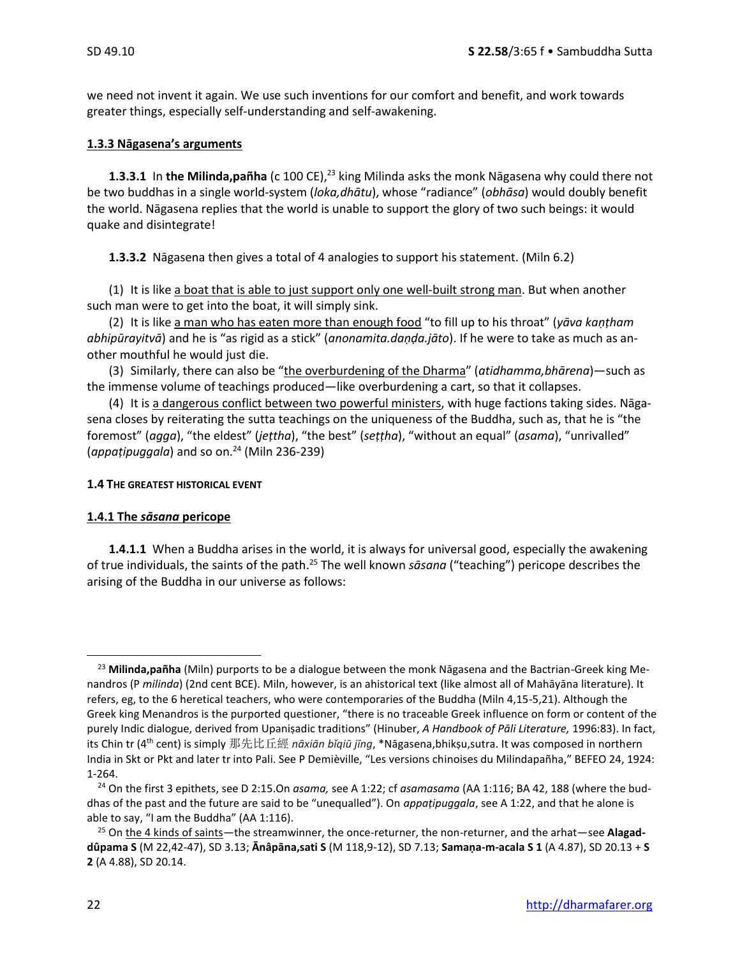we need not invent it again. We use such inventions for our comfort and benefit, and work towards greater things, especially self-understanding and self-awakening.

#### **1.3.3 Nāgasena's arguments**

**1.3.3.1** In the Milinda,pañha (c 100 CE),<sup>23</sup> king Milinda asks the monk Nāgasena why could there not be two buddhas in a single world-system (*loka,dhātu*), whose "radiance" (*obhāsa*) would doubly benefit the world. Nāgasena replies that the world is unable to support the glory of two such beings: it would quake and disintegrate!

**1.3.3.2** Nāgasena then gives a total of 4 analogies to support his statement. (Miln 6.2)

(1) It is like a boat that is able to just support only one well-built strong man. But when another such man were to get into the boat, it will simply sink.

(2) It is like a man who has eaten more than enough food "to fill up to his throat" (*yāva kaṇṭham abhipūrayitvā*) and he is "as rigid as a stick" (*anonamita.daṇḍa.jāto*). If he were to take as much as another mouthful he would just die.

(3) Similarly, there can also be "the overburdening of the Dharma" (*atidhamma,bhārena*)—such as the immense volume of teachings produced—like overburdening a cart, so that it collapses.

(4) It is a dangerous conflict between two powerful ministers, with huge factions taking sides. Nāgasena closes by reiterating the sutta teachings on the uniqueness of the Buddha, such as, that he is "the foremost" (*agga*), "the eldest" (*jeṭtha*), "the best" (*seṭṭha*), "without an equal" (*asama*), "unrivalled" (*appaṭipuggala*) and so on.<sup>24</sup> (Miln 236-239)

#### **1.4 THE GREATEST HISTORICAL EVENT**

#### **1.4.1 The** *sāsana* **pericope**

**1.4.1.1** When a Buddha arises in the world, it is always for universal good, especially the awakening of true individuals, the saints of the path. <sup>25</sup> The well known *sāsana* ("teaching") pericope describes the arising of the Buddha in our universe as follows:

<sup>23</sup> **Milinda,pañha** (Miln) purports to be a dialogue between the monk Nāgasena and the Bactrian-Greek king Menandros (P *milinda*) (2nd cent BCE). Miln, however, is an ahistorical text (like almost all of Mahāyāna literature). It refers, eg, to the 6 heretical teachers, who were contemporaries of the Buddha (Miln 4,15-5,21). Although the Greek king Menandros is the purported questioner, "there is no traceable Greek influence on form or content of the purely Indic dialogue, derived from Upaniṣadic traditions" (Hinuber, *A Handbook of Pāli Literature,* 1996:83). In fact, its Chin tr (4th cent) is simply 那先比丘經 *nāxiān bǐqiū jīng*, \*Nāgasena,bhikṣu,sutra. It was composed in northern India in Skt or Pkt and later tr into Pali. See P Demièville, "Les versions chinoises du Milindapañha," BEFEO 24, 1924: 1-264.

<sup>24</sup> On the first 3 epithets, see D 2:15.On *asama,* see A 1:22; cf *asamasama* (AA 1:116; BA 42, 188 (where the buddhas of the past and the future are said to be "unequalled"). On *appaṭipuggala*, see A 1:22, and that he alone is able to say, "I am the Buddha" (AA 1:116).

<sup>25</sup> On the 4 kinds of saints—the streamwinner, the once-returner, the non-returner, and the arhat—see **Alagaddûpama S** (M 22,42-47), SD 3.13; **Ānâpāna,sati S** (M 118,9-12), SD 7.13; **Samaṇa-m-acala S 1** (A 4.87), SD 20.13 + **S 2** (A 4.88), SD 20.14.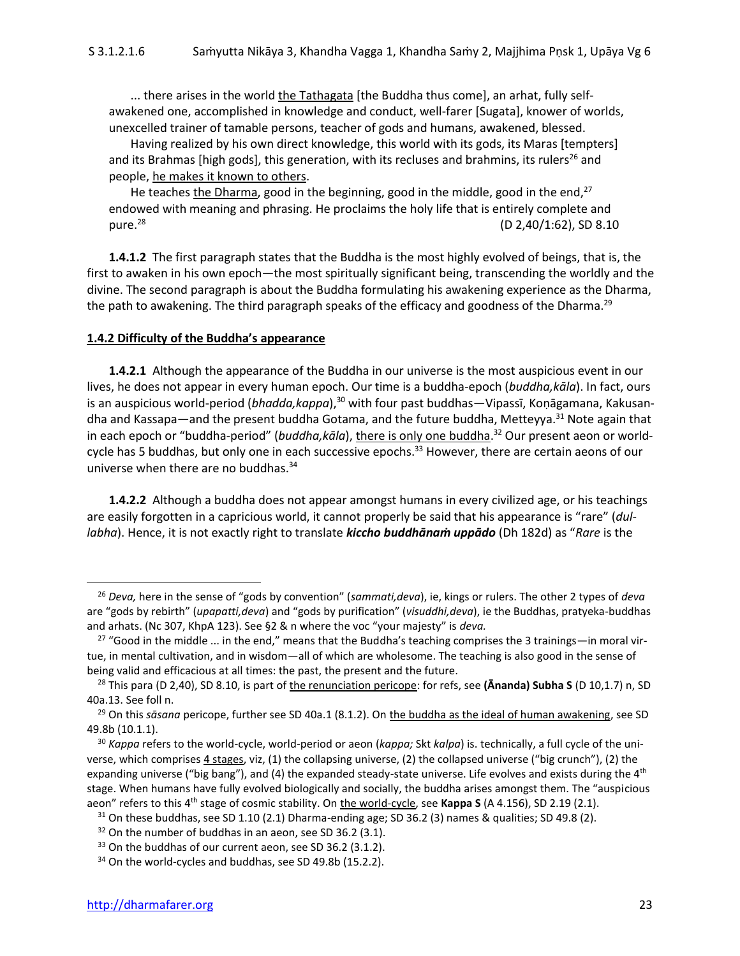... there arises in the world the Tathagata [the Buddha thus come], an arhat, fully selfawakened one, accomplished in knowledge and conduct, well-farer [Sugata], knower of worlds, unexcelled trainer of tamable persons, teacher of gods and humans, awakened, blessed.

Having realized by his own direct knowledge, this world with its gods, its Maras [tempters] and its Brahmas [high gods], this generation, with its recluses and brahmins, its rulers<sup>26</sup> and people, he makes it known to others.

He teaches the Dharma, good in the beginning, good in the middle, good in the end,  $27$ endowed with meaning and phrasing. He proclaims the holy life that is entirely complete and pure.<sup>28</sup> (D 2,40/1:62), SD 8.10

**1.4.1.2** The first paragraph states that the Buddha is the most highly evolved of beings, that is, the first to awaken in his own epoch—the most spiritually significant being, transcending the worldly and the divine. The second paragraph is about the Buddha formulating his awakening experience as the Dharma, the path to awakening. The third paragraph speaks of the efficacy and goodness of the Dharma.<sup>29</sup>

#### **1.4.2 Difficulty of the Buddha's appearance**

**1.4.2.1** Although the appearance of the Buddha in our universe is the most auspicious event in our lives, he does not appear in every human epoch. Our time is a buddha-epoch (*buddha,kāla*). In fact, ours is an auspicious world-period (*bhadda,kappa*),<sup>30</sup> with four past buddhas—Vipassī, Koņāgamana, Kakusandha and Kassapa—and the present buddha Gotama, and the future buddha, Metteyya.<sup>31</sup> Note again that in each epoch or "buddha-period" (*buddha,kāla*), there is only one buddha. <sup>32</sup> Our present aeon or worldcycle has 5 buddhas, but only one in each successive epochs.<sup>33</sup> However, there are certain aeons of our universe when there are no buddhas.<sup>34</sup>

**1.4.2.2** Although a buddha does not appear amongst humans in every civilized age, or his teachings are easily forgotten in a capricious world, it cannot properly be said that his appearance is "rare" (*dullabha*). Hence, it is not exactly right to translate *kiccho buddhānaṁ uppādo* (Dh 182d) as "*Rare* is the

<sup>26</sup> *Deva,* here in the sense of "gods by convention" (*sammati,deva*), ie, kings or rulers. The other 2 types of *deva* are "gods by rebirth" (*upapatti,deva*) and "gods by purification" (*visuddhi,deva*), ie the Buddhas, pratyeka-buddhas and arhats. (Nc 307, KhpA 123). See §2 & n where the voc "your majesty" is *deva.*

 $27$  "Good in the middle ... in the end," means that the Buddha's teaching comprises the 3 trainings—in moral virtue, in mental cultivation, and in wisdom—all of which are wholesome. The teaching is also good in the sense of being valid and efficacious at all times: the past, the present and the future.

<sup>28</sup> This para (D 2,40), SD 8.10, is part of the renunciation pericope: for refs, see **(Ānanda) Subha S** (D 10,1.7) n, SD 40a.13. See foll n.

<sup>&</sup>lt;sup>29</sup> On this *sāsana* pericope, further see SD 40a.1 (8.1.2). On the buddha as the ideal of human awakening, see SD 49.8b (10.1.1).

<sup>30</sup> *Kappa* refers to the world-cycle, world-period or aeon (*kappa;* Skt *kalpa*) is. technically, a full cycle of the universe, which comprises 4 stages, viz, (1) the collapsing universe, (2) the collapsed universe ("big crunch"), (2) the expanding universe ("big bang"), and (4) the expanded steady-state universe. Life evolves and exists during the 4<sup>th</sup> stage. When humans have fully evolved biologically and socially, the buddha arises amongst them. The "auspicious aeon" refers to this 4th stage of cosmic stability. On the world-cycle, see **Kappa S** (A 4.156), SD 2.19 (2.1).

 $31$  On these buddhas, see SD 1.10 (2.1) Dharma-ending age; SD 36.2 (3) names & qualities; SD 49.8 (2).

 $32$  On the number of buddhas in an aeon, see SD 36.2 (3.1).

 $33$  On the buddhas of our current aeon, see SD 36.2 (3.1.2).

<sup>&</sup>lt;sup>34</sup> On the world-cycles and buddhas, see SD 49.8b (15.2.2).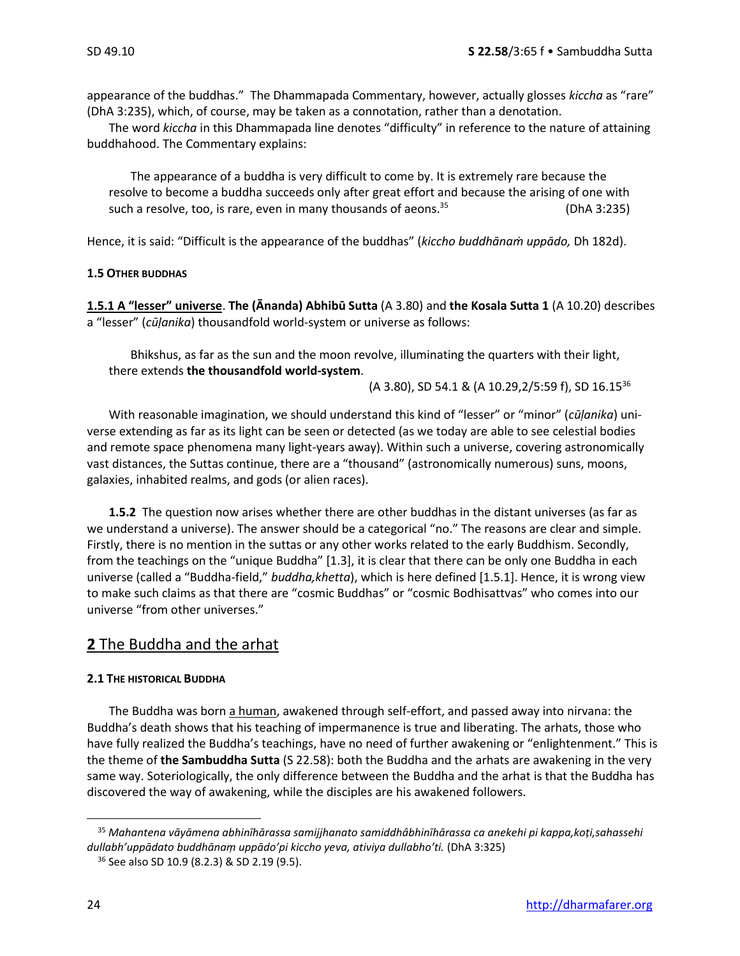appearance of the buddhas." The Dhammapada Commentary, however, actually glosses *kiccha* as "rare" (DhA 3:235), which, of course, may be taken as a connotation, rather than a denotation.

The word *kiccha* in this Dhammapada line denotes "difficulty" in reference to the nature of attaining buddhahood. The Commentary explains:

The appearance of a buddha is very difficult to come by. It is extremely rare because the resolve to become a buddha succeeds only after great effort and because the arising of one with such a resolve, too, is rare, even in many thousands of aeons. $35$  (DhA 3:235)

Hence, it is said: "Difficult is the appearance of the buddhas" (*kiccho buddhānaṁ uppādo,* Dh 182d).

#### **1.5 OTHER BUDDHAS**

**1.5.1 A "lesser" universe**. **The (Ānanda) Abhibū Sutta** (A 3.80) and **the Kosala Sutta 1** (A 10.20) describes a "lesser" (*cūḷanika*) thousandfold world-system or universe as follows:

Bhikshus, as far as the sun and the moon revolve, illuminating the quarters with their light, there extends **the thousandfold world-system**.

(A 3.80), SD 54.1 & (A 10.29,2/5:59 f), SD 16.15<sup>36</sup>

With reasonable imagination, we should understand this kind of "lesser" or "minor" (*cūḷanika*) universe extending as far as its light can be seen or detected (as we today are able to see celestial bodies and remote space phenomena many light-years away). Within such a universe, covering astronomically vast distances, the Suttas continue, there are a "thousand" (astronomically numerous) suns, moons, galaxies, inhabited realms, and gods (or alien races).

**1.5.2** The question now arises whether there are other buddhas in the distant universes (as far as we understand a universe). The answer should be a categorical "no." The reasons are clear and simple. Firstly, there is no mention in the suttas or any other works related to the early Buddhism. Secondly, from the teachings on the "unique Buddha" [1.3], it is clear that there can be only one Buddha in each universe (called a "Buddha-field," *buddha,khetta*), which is here defined [1.5.1]. Hence, it is wrong view to make such claims as that there are "cosmic Buddhas" or "cosmic Bodhisattvas" who comes into our universe "from other universes."

#### **2** The Buddha and the arhat

#### **2.1 THE HISTORICAL BUDDHA**

The Buddha was born a human, awakened through self-effort, and passed away into nirvana: the Buddha's death shows that his teaching of impermanence is true and liberating. The arhats, those who have fully realized the Buddha's teachings, have no need of further awakening or "enlightenment." This is the theme of **the Sambuddha Sutta** (S 22.58): both the Buddha and the arhats are awakening in the very same way. Soteriologically, the only difference between the Buddha and the arhat is that the Buddha has discovered the way of awakening, while the disciples are his awakened followers.

<sup>35</sup> *Mahantena vāyāmena abhinīhārassa samijjhanato samiddhâbhinīhārassa ca anekehi pi kappa,koṭi,sahassehi dullabh'uppādato buddhānaṃ uppādo'pi kiccho yeva, ativiya dullabho'ti.* (DhA 3:325)

<sup>36</sup> See also SD 10.9 (8.2.3) & SD 2.19 (9.5).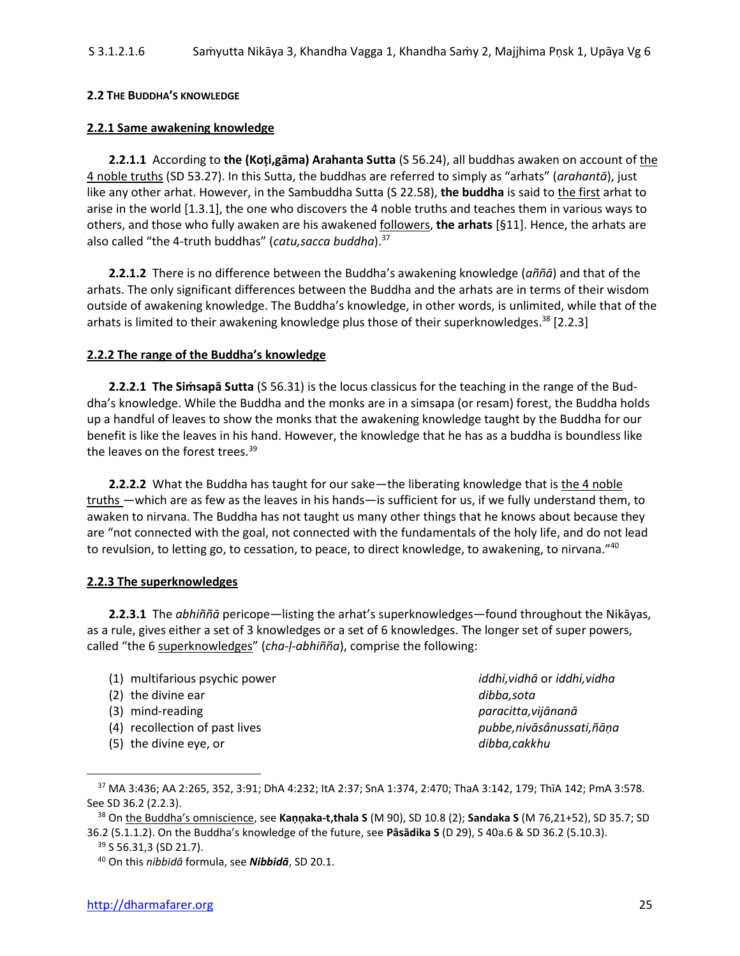#### **2.2 THE BUDDHA'S KNOWLEDGE**

#### **2.2.1 Same awakening knowledge**

**2.2.1.1** According to **the (Koṭi,gāma) Arahanta Sutta** (S 56.24), all buddhas awaken on account of the 4 noble truths (SD 53.27). In this Sutta, the buddhas are referred to simply as "arhats" (*arahantā*), just like any other arhat. However, in the Sambuddha Sutta (S 22.58), **the buddha** is said to the first arhat to arise in the world [1.3.1], the one who discovers the 4 noble truths and teaches them in various ways to others, and those who fully awaken are his awakened followers, **the arhats** [§11]. Hence, the arhats are also called "the 4-truth buddhas" (*catu,sacca buddha*).<sup>37</sup>

**2.2.1.2** There is no difference between the Buddha's awakening knowledge (*aññā*) and that of the arhats. The only significant differences between the Buddha and the arhats are in terms of their wisdom outside of awakening knowledge. The Buddha's knowledge, in other words, is unlimited, while that of the arhats is limited to their awakening knowledge plus those of their superknowledges.<sup>38</sup> [2.2.3]

#### **2.2.2 The range of the Buddha's knowledge**

**2.2.2.1 The Siṁsapā Sutta** (S 56.31) is the locus classicus for the teaching in the range of the Buddha's knowledge. While the Buddha and the monks are in a simsapa (or resam) forest, the Buddha holds up a handful of leaves to show the monks that the awakening knowledge taught by the Buddha for our benefit is like the leaves in his hand. However, the knowledge that he has as a buddha is boundless like the leaves on the forest trees.<sup>39</sup>

**2.2.2.2** What the Buddha has taught for our sake—the liberating knowledge that is the 4 noble truths —which are as few as the leaves in his hands—is sufficient for us, if we fully understand them, to awaken to nirvana. The Buddha has not taught us many other things that he knows about because they are "not connected with the goal, not connected with the fundamentals of the holy life, and do not lead to revulsion, to letting go, to cessation, to peace, to direct knowledge, to awakening, to nirvana."<sup>40</sup>

#### **2.2.3 The superknowledges**

**2.2.3.1** The *abhiññā* pericope—listing the arhat's superknowledges—found throughout the Nikāyas, as a rule, gives either a set of 3 knowledges or a set of 6 knowledges. The longer set of super powers, called "the 6 superknowledges" (*cha-ḷ-abhiñña*), comprise the following:

- (1) multifarious psychic power *iddhi,vidhā* or *iddhi,vidha* (2) the divine ear *dibba,sota*
- 
- 
- (5) the divine eye, or *dibba,cakkhu*

(3) mind-reading *paracitta,vijānanā* (4) recollection of past lives *pubbe,nivāsânussati,ñāṇa*

<sup>37</sup> MA 3:436; AA 2:265, 352, 3:91; DhA 4:232; ItA 2:37; SnA 1:374, 2:470; ThaA 3:142, 179; ThīA 142; PmA 3:578. See SD 36.2 (2.2.3).

<sup>38</sup> On the Buddha's omniscience, see **Kaṇṇaka-t,thala S** (M 90), SD 10.8 (2); **Sandaka S** (M 76,21+52), SD 35.7; SD 36.2 (5.1.1.2). On the Buddha's knowledge of the future, see **Pāsādika S** (D 29), S 40a.6 & SD 36.2 (5.10.3).

<sup>&</sup>lt;sup>39</sup> S 56.31,3 (SD 21.7).

<sup>40</sup> On this *nibbidā* formula, see *Nibbidā*, SD 20.1.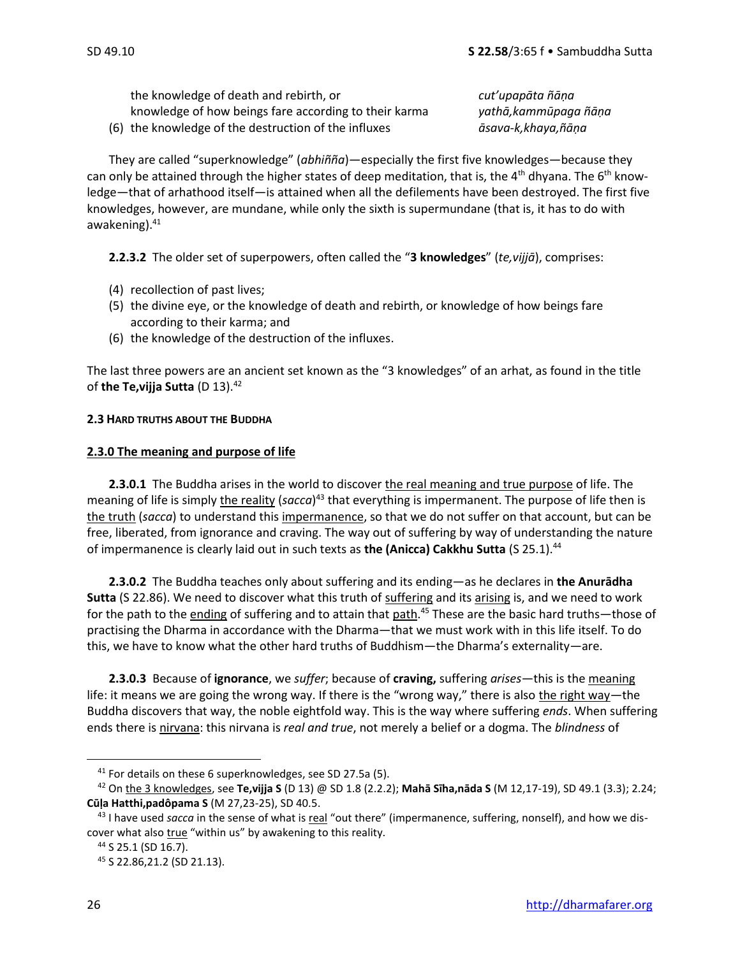the knowledge of death and rebirth, or *cut'upapāta ñāṇa* knowledge of how beings fare according to their karma *yathā,kammūpaga ñāṇa* (6) the knowledge of the destruction of the influxes *āsava-k,khaya,ñāṇa*

They are called "superknowledge" (*abhiñña*)—especially the first five knowledges—because they can only be attained through the higher states of deep meditation, that is, the  $4<sup>th</sup>$  dhyana. The  $6<sup>th</sup>$  knowledge—that of arhathood itself—is attained when all the defilements have been destroyed. The first five knowledges, however, are mundane, while only the sixth is supermundane (that is, it has to do with awakening).<sup>41</sup>

**2.2.3.2** The older set of superpowers, often called the "**3 knowledges**" (*te,vijjā*), comprises:

- (4) recollection of past lives;
- (5) the divine eye, or the knowledge of death and rebirth, or knowledge of how beings fare according to their karma; and
- (6) the knowledge of the destruction of the influxes.

The last three powers are an ancient set known as the "3 knowledges" of an arhat, as found in the title of **the Te,vijja Sutta** (D 13).<sup>42</sup>

#### **2.3 HARD TRUTHS ABOUT THE BUDDHA**

#### **2.3.0 The meaning and purpose of life**

**2.3.0.1** The Buddha arises in the world to discover the real meaning and true purpose of life. The meaning of life is simply the reality (sacca)<sup>43</sup> that everything is impermanent. The purpose of life then is the truth (*sacca*) to understand this impermanence, so that we do not suffer on that account, but can be free, liberated, from ignorance and craving. The way out of suffering by way of understanding the nature of impermanence is clearly laid out in such texts as **the (Anicca) Cakkhu Sutta** (S 25.1).<sup>44</sup>

**2.3.0.2** The Buddha teaches only about suffering and its ending—as he declares in **the Anurādha Sutta** (S 22.86). We need to discover what this truth of suffering and its arising is, and we need to work for the path to the ending of suffering and to attain that path.<sup>45</sup> These are the basic hard truths—those of practising the Dharma in accordance with the Dharma—that we must work with in this life itself. To do this, we have to know what the other hard truths of Buddhism—the Dharma's externality—are.

**2.3.0.3** Because of **ignorance**, we *suffer*; because of **craving,** suffering *arises*—this is the meaning life: it means we are going the wrong way. If there is the "wrong way," there is also the right way—the Buddha discovers that way, the noble eightfold way. This is the way where suffering *ends*. When suffering ends there is nirvana: this nirvana is *real and true*, not merely a belief or a dogma. The *blindness* of

<sup>&</sup>lt;sup>41</sup> For details on these 6 superknowledges, see SD 27.5a (5).

<sup>42</sup> On the 3 knowledges, see **Te,vijja S** (D 13) @ SD 1.8 (2.2.2); **Mahā Sīha,nāda S** (M 12,17-19), SD 49.1 (3.3); 2.24; **Cūḷa Hatthi,padôpama S** (M 27,23-25), SD 40.5.

<sup>43</sup> I have used *sacca* in the sense of what is real "out there" (impermanence, suffering, nonself), and how we discover what also *true* "within us" by awakening to this reality.

<sup>44</sup> S 25.1 (SD 16.7).

<sup>45</sup> S 22.86,21.2 (SD 21.13).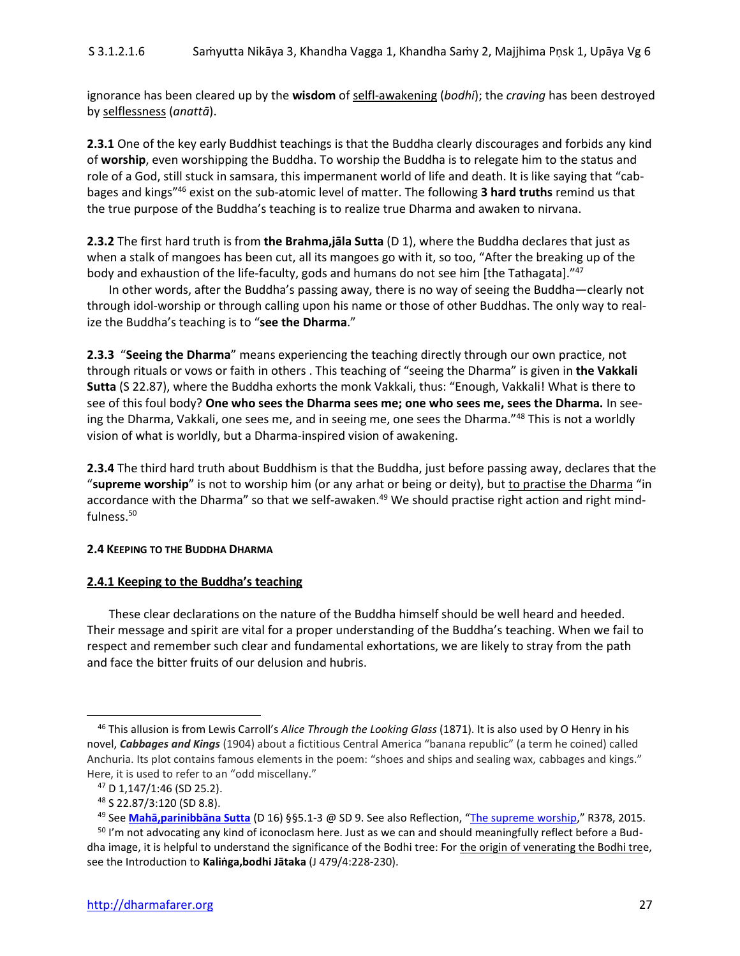ignorance has been cleared up by the **wisdom** of selfl-awakening (*bodhi*); the *craving* has been destroyed by selflessness (*anattā*).

**2.3.1** One of the key early Buddhist teachings is that the Buddha clearly discourages and forbids any kind of **worship**, even worshipping the Buddha. To worship the Buddha is to relegate him to the status and role of a God, still stuck in samsara, this impermanent world of life and death. It is like saying that "cabbages and kings" <sup>46</sup> exist on the sub-atomic level of matter. The following **3 hard truths** remind us that the true purpose of the Buddha's teaching is to realize true Dharma and awaken to nirvana.

**2.3.2** The first hard truth is from **the Brahma,jāla Sutta** (D 1), where the Buddha declares that just as when a stalk of mangoes has been cut, all its mangoes go with it, so too, "After the breaking up of the body and exhaustion of the life-faculty, gods and humans do not see him [the Tathagata]."<sup>47</sup>

In other words, after the Buddha's passing away, there is no way of seeing the Buddha—clearly not through idol-worship or through calling upon his name or those of other Buddhas. The only way to realize the Buddha's teaching is to "**see the Dharma**."

**2.3.3** "**Seeing the Dharma**" means experiencing the teaching directly through our own practice, not through rituals or vows or faith in others . This teaching of "seeing the Dharma" is given in **the Vakkali Sutta** (S 22.87), where the Buddha exhorts the monk Vakkali, thus: "Enough, Vakkali! What is there to see of this foul body? **One who sees the Dharma sees me; one who sees me, sees the Dharma.** In seeing the Dharma, Vakkali, one sees me, and in seeing me, one sees the Dharma."<sup>48</sup> This is not a worldly vision of what is worldly, but a Dharma-inspired vision of awakening.

**2.3.4** The third hard truth about Buddhism is that the Buddha, just before passing away, declares that the "supreme worship" is not to worship him (or any arhat or being or deity), but to practise the Dharma "in accordance with the Dharma" so that we self-awaken.<sup>49</sup> We should practise right action and right mindfulness.<sup>50</sup>

#### **2.4 KEEPING TO THE BUDDHA DHARMA**

#### **2.4.1 Keeping to the Buddha's teaching**

These clear declarations on the nature of the Buddha himself should be well heard and heeded. Their message and spirit are vital for a proper understanding of the Buddha's teaching. When we fail to respect and remember such clear and fundamental exhortations, we are likely to stray from the path and face the bitter fruits of our delusion and hubris.

<sup>46</sup> This allusion is from Lewis Carroll's *Alice Through the Looking Glass* (1871). It is also used by O Henry in his novel, *Cabbages and Kings* (1904) about a fictitious Central America "banana republic" (a term he coined) called Anchuria. Its plot contains famous elements in the poem: "shoes and ships and sealing wax, cabbages and kings." Here, it is used to refer to an "odd miscellany."

<sup>47</sup> D 1,147/1:46 (SD 25.2).

<sup>48</sup> S 22.87/3:120 (SD 8.8).

<sup>49</sup> See **[Mahā,parinibbāna Sutta](http://dharmafarer.org/wordpress/wp-content/uploads/2009/12/SD9-Mahaparinibbana-S-d16-part-2-piya.pdf)** (D 16) §§5.1-3 @ SD 9. See also Reflection, "[The supreme worship](http://dharmafarer.org/wordpress/wp-content/uploads/2009/11/R378-150107-Supreme-worship-269.pdf)," R378, 2015.

<sup>&</sup>lt;sup>50</sup> I'm not advocating any kind of iconoclasm here. Just as we can and should meaningfully reflect before a Buddha image, it is helpful to understand the significance of the Bodhi tree: For the origin of venerating the Bodhi tree, see the Introduction to **Kaliṅga,bodhi Jātaka** (J 479/4:228-230).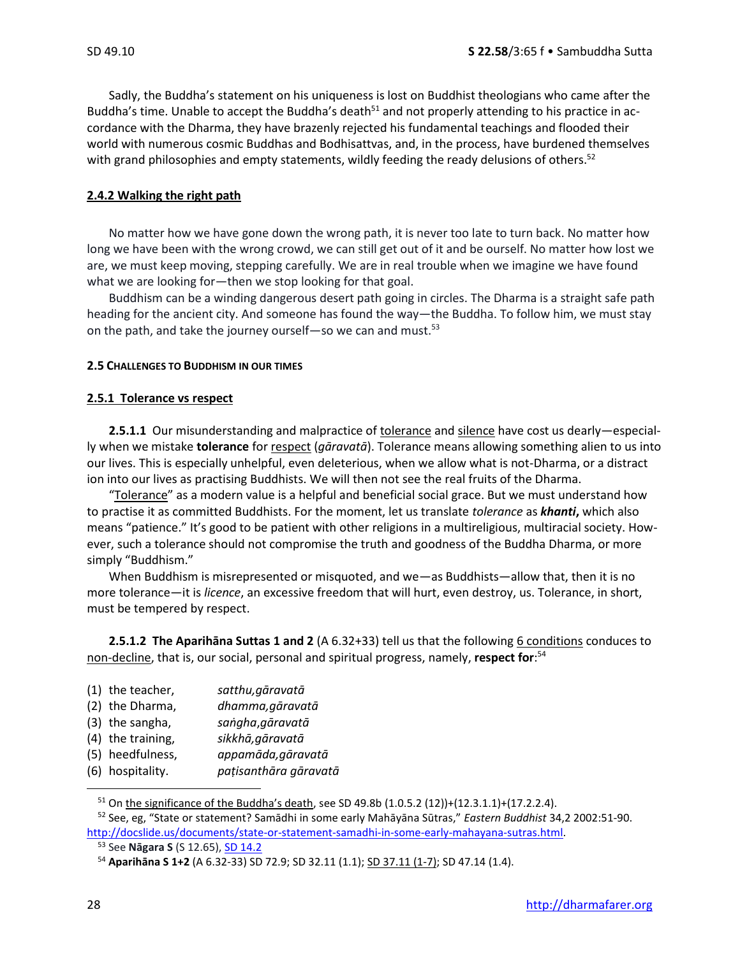Sadly, the Buddha's statement on his uniqueness is lost on Buddhist theologians who came after the Buddha's time. Unable to accept the Buddha's death<sup>51</sup> and not properly attending to his practice in accordance with the Dharma, they have brazenly rejected his fundamental teachings and flooded their world with numerous cosmic Buddhas and Bodhisattvas, and, in the process, have burdened themselves with grand philosophies and empty statements, wildly feeding the ready delusions of others.<sup>52</sup>

#### **2.4.2 Walking the right path**

No matter how we have gone down the wrong path, it is never too late to turn back. No matter how long we have been with the wrong crowd, we can still get out of it and be ourself. No matter how lost we are, we must keep moving, stepping carefully. We are in real trouble when we imagine we have found what we are looking for—then we stop looking for that goal.

Buddhism can be a winding dangerous desert path going in circles. The Dharma is a straight safe path heading for the ancient city. And someone has found the way—the Buddha. To follow him, we must stay on the path, and take the journey ourself—so we can and must.<sup>53</sup>

#### **2.5 CHALLENGES TO BUDDHISM IN OUR TIMES**

#### **2.5.1 Tolerance vs respect**

**2.5.1.1** Our misunderstanding and malpractice of tolerance and silence have cost us dearly—especially when we mistake **tolerance** for respect (*gāravatā*). Tolerance means allowing something alien to us into our lives. This is especially unhelpful, even deleterious, when we allow what is not-Dharma, or a distract ion into our lives as practising Buddhists. We will then not see the real fruits of the Dharma.

"Tolerance" as a modern value is a helpful and beneficial social grace. But we must understand how to practise it as committed Buddhists. For the moment, let us translate *tolerance* as *khanti***,** which also means "patience." It's good to be patient with other religions in a multireligious, multiracial society. However, such a tolerance should not compromise the truth and goodness of the Buddha Dharma, or more simply "Buddhism."

When Buddhism is misrepresented or misquoted, and we—as Buddhists—allow that, then it is no more tolerance—it is *licence*, an excessive freedom that will hurt, even destroy, us. Tolerance, in short, must be tempered by respect.

**2.5.1.2 The Aparihāna Suttas 1 and 2** (A 6.32+33) tell us that the following 6 conditions conduces to non-decline, that is, our social, personal and spiritual progress, namely, **respect for**: 54

|        | (1) the teacher, | satthu, gāravatā |  |
|--------|------------------|------------------|--|
| $\sim$ |                  |                  |  |

- (2) the Dharma, *dhamma,gāravatā*
- (3) the sangha, *saṅgha*,*gāravatā*
- (4) the training, *sikkhā,gāravatā*
- (5) heedfulness, *appamāda,gāravatā*
- (6) hospitality. *paṭisanthāra gāravatā*

 $51$  On the significance of the Buddha's death, see SD 49.8b (1.0.5.2 (12))+(12.3.1.1)+(17.2.2.4).

<sup>52</sup> See, eg, "State or statement? Samādhi in some early Mahāyāna Sūtras," *Eastern Buddhist* 34,2 2002:51-90. [http://docslide.us/documents/state-or-statement-samadhi-in-some-early-mahayana-sutras.html.](http://docslide.us/documents/state-or-statement-samadhi-in-some-early-mahayana-sutras.html)

<sup>53</sup> See **Nāgara S** (S 12.65), [SD 14.2](http://dharmafarer.org/…/2…/12/14.2-Nagara-S-s12.65-piya.pdf.)

<sup>54</sup> **Aparihāna S 1+2** (A 6.32-33) SD 72.9; SD 32.11 (1.1); SD 37.11 (1-7); SD 47.14 (1.4).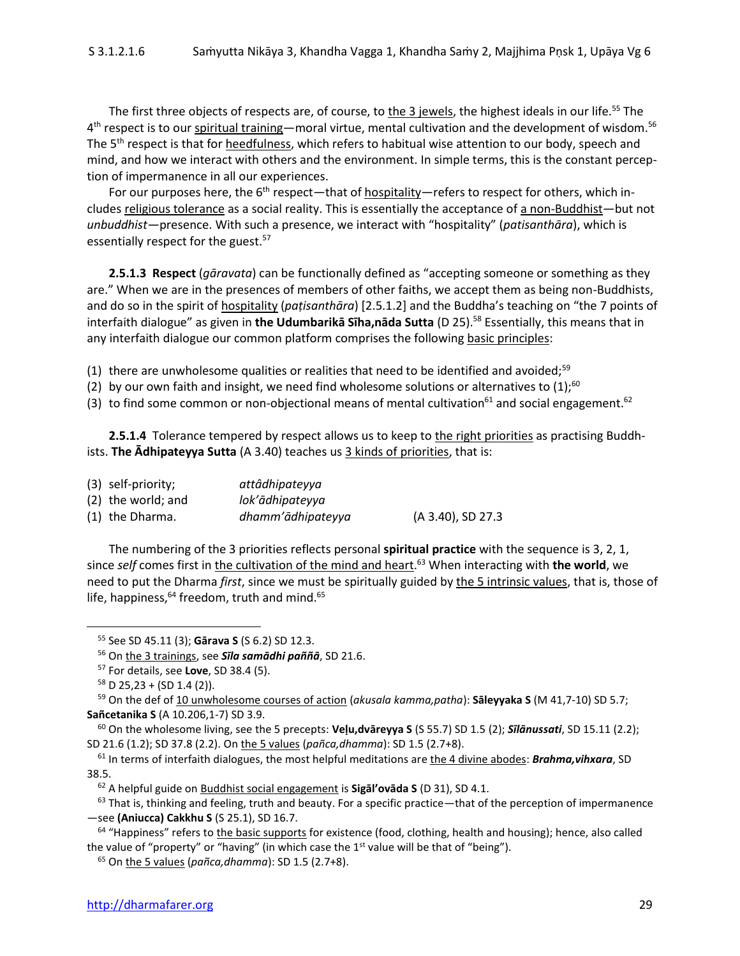The first three objects of respects are, of course, to the 3 jewels, the highest ideals in our life.<sup>55</sup> The 4<sup>th</sup> respect is to our spiritual training—moral virtue, mental cultivation and the development of wisdom.<sup>56</sup> The 5<sup>th</sup> respect is that for heedfulness, which refers to habitual wise attention to our body, speech and mind, and how we interact with others and the environment. In simple terms, this is the constant perception of impermanence in all our experiences.

For our purposes here, the  $6<sup>th</sup>$  respect—that of hospitality—refers to respect for others, which includes religious tolerance as a social reality. This is essentially the acceptance of a non-Buddhist-but not *unbuddhist—*presence. With such a presence, we interact with "hospitality" (*patisanthāra*), which is essentially respect for the guest.<sup>57</sup>

**2.5.1.3 Respect** (*gāravata*) can be functionally defined as "accepting someone or something as they are." When we are in the presences of members of other faiths, we accept them as being non-Buddhists, and do so in the spirit of hospitality (*paṭisanthāra*) [2.5.1.2] and the Buddha's teaching on "the 7 points of interfaith dialogue" as given in the Udumbarikā Sīha,nāda Sutta (D 25).<sup>58</sup> Essentially, this means that in any interfaith dialogue our common platform comprises the following basic principles:

(1) there are unwholesome qualities or realities that need to be identified and avoided;<sup>59</sup>

- (2) by our own faith and insight, we need find wholesome solutions or alternatives to  $(1)$ ;<sup>60</sup>
- (3) to find some common or non-objectional means of mental cultivation<sup>61</sup> and social engagement.<sup>62</sup>

**2.5.1.4** Tolerance tempered by respect allows us to keep to the right priorities as practising Buddhists. **The Adhipateyya Sutta** (A 3.40) teaches us 3 kinds of priorities, that is:

| (3) self-priority;   | attâdhipateyya    |                   |
|----------------------|-------------------|-------------------|
| $(2)$ the world; and | lok'ādhipateyya   |                   |
| (1) the Dharma.      | dhamm'ādhipateyya | (A 3.40), SD 27.3 |

The numbering of the 3 priorities reflects personal **spiritual practice** with the sequence is 3, 2, 1, since *self* comes first in the cultivation of the mind and heart. <sup>63</sup> When interacting with **the world**, we need to put the Dharma *first*, since we must be spiritually guided by the 5 intrinsic values, that is, those of life, happiness,<sup>64</sup> freedom, truth and mind.<sup>65</sup>

<sup>55</sup> See SD 45.11 (3); **Gārava S** (S 6.2) SD 12.3.

<sup>56</sup> On the 3 trainings, see *Sīla samādhi paññā*, SD 21.6.

<sup>57</sup> For details, see **Love**, SD 38.4 (5).

 $58$  D 25,23 + (SD 1.4 (2)).

<sup>59</sup> On the def of 10 unwholesome courses of action (*akusala kamma,patha*): **Sāleyyaka S** (M 41,7-10) SD 5.7; **Sañcetanika S** (A 10.206,1-7) SD 3.9.

<sup>60</sup> On the wholesome living, see the 5 precepts: **Veḷu,dvāreyya S** (S 55.7) SD 1.5 (2); *Sīlānussati*, SD 15.11 (2.2); SD 21.6 (1.2); SD 37.8 (2.2). On the 5 values (*pañca,dhamma*): SD 1.5 (2.7+8).

<sup>&</sup>lt;sup>61</sup> In terms of interfaith dialogues, the most helpful meditations are the 4 divine abodes: **Brahma, vihxara**, SD 38.5.

<sup>62</sup> A helpful guide on Buddhist social engagement is **Sigāl'ovāda S** (D 31), SD 4.1.

 $63$  That is, thinking and feeling, truth and beauty. For a specific practice—that of the perception of impermanence —see **(Aniucca) Cakkhu S** (S 25.1), SD 16.7.

 $64$  "Happiness" refers to the basic supports for existence (food, clothing, health and housing); hence, also called the value of "property" or "having" (in which case the  $1<sup>st</sup>$  value will be that of "being").

<sup>65</sup> On the 5 values (*pañca,dhamma*): SD 1.5 (2.7+8).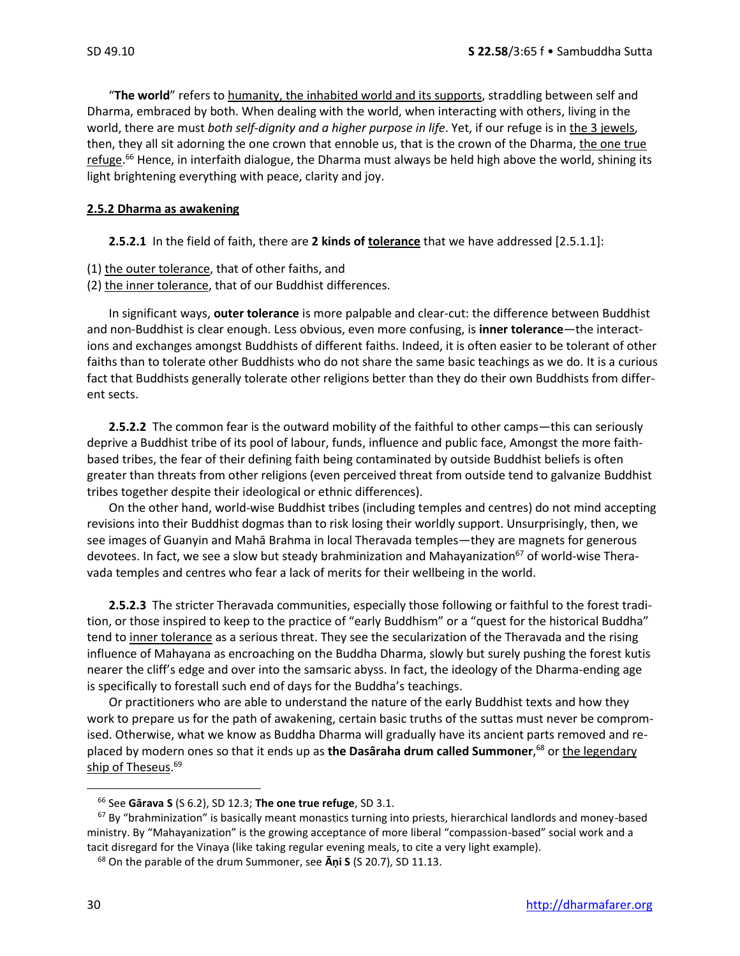"**The world**" refers to humanity, the inhabited world and its supports, straddling between self and Dharma, embraced by both. When dealing with the world, when interacting with others, living in the world, there are must *both self-dignity and a higher purpose in life*. Yet, if our refuge is in the 3 jewels, then, they all sit adorning the one crown that ennoble us, that is the crown of the Dharma, the one true refuge.<sup>66</sup> Hence, in interfaith dialogue, the Dharma must always be held high above the world, shining its light brightening everything with peace, clarity and joy.

#### **2.5.2 Dharma as awakening**

**2.5.2.1** In the field of faith, there are **2 kinds of tolerance** that we have addressed [2.5.1.1]:

- (1) the outer tolerance, that of other faiths, and
- (2) the inner tolerance, that of our Buddhist differences.

In significant ways, **outer tolerance** is more palpable and clear-cut: the difference between Buddhist and non-Buddhist is clear enough. Less obvious, even more confusing, is **inner tolerance**—the interactions and exchanges amongst Buddhists of different faiths. Indeed, it is often easier to be tolerant of other faiths than to tolerate other Buddhists who do not share the same basic teachings as we do. It is a curious fact that Buddhists generally tolerate other religions better than they do their own Buddhists from different sects.

**2.5.2.2** The common fear is the outward mobility of the faithful to other camps—this can seriously deprive a Buddhist tribe of its pool of labour, funds, influence and public face, Amongst the more faithbased tribes, the fear of their defining faith being contaminated by outside Buddhist beliefs is often greater than threats from other religions (even perceived threat from outside tend to galvanize Buddhist tribes together despite their ideological or ethnic differences).

On the other hand, world-wise Buddhist tribes (including temples and centres) do not mind accepting revisions into their Buddhist dogmas than to risk losing their worldly support. Unsurprisingly, then, we see images of Guanyin and Mahā Brahma in local Theravada temples—they are magnets for generous devotees. In fact, we see a slow but steady brahminization and Mahayanization<sup>67</sup> of world-wise Theravada temples and centres who fear a lack of merits for their wellbeing in the world.

**2.5.2.3** The stricter Theravada communities, especially those following or faithful to the forest tradition, or those inspired to keep to the practice of "early Buddhism" or a "quest for the historical Buddha" tend to inner tolerance as a serious threat. They see the secularization of the Theravada and the rising influence of Mahayana as encroaching on the Buddha Dharma, slowly but surely pushing the forest kutis nearer the cliff's edge and over into the samsaric abyss. In fact, the ideology of the Dharma-ending age is specifically to forestall such end of days for the Buddha's teachings.

Or practitioners who are able to understand the nature of the early Buddhist texts and how they work to prepare us for the path of awakening, certain basic truths of the suttas must never be compromised. Otherwise, what we know as Buddha Dharma will gradually have its ancient parts removed and replaced by modern ones so that it ends up as **the Dasâraha drum called Summoner**, <sup>68</sup> or the legendary ship of Theseus. 69

<sup>66</sup> See **Gārava S** (S 6.2), SD 12.3; **The one true refuge**, SD 3.1.

 $67$  By "brahminization" is basically meant monastics turning into priests, hierarchical landlords and money-based ministry. By "Mahayanization" is the growing acceptance of more liberal "compassion-based" social work and a tacit disregard for the Vinaya (like taking regular evening meals, to cite a very light example).

<sup>68</sup> On the parable of the drum Summoner, see **Āṇi S** (S 20.7), SD 11.13.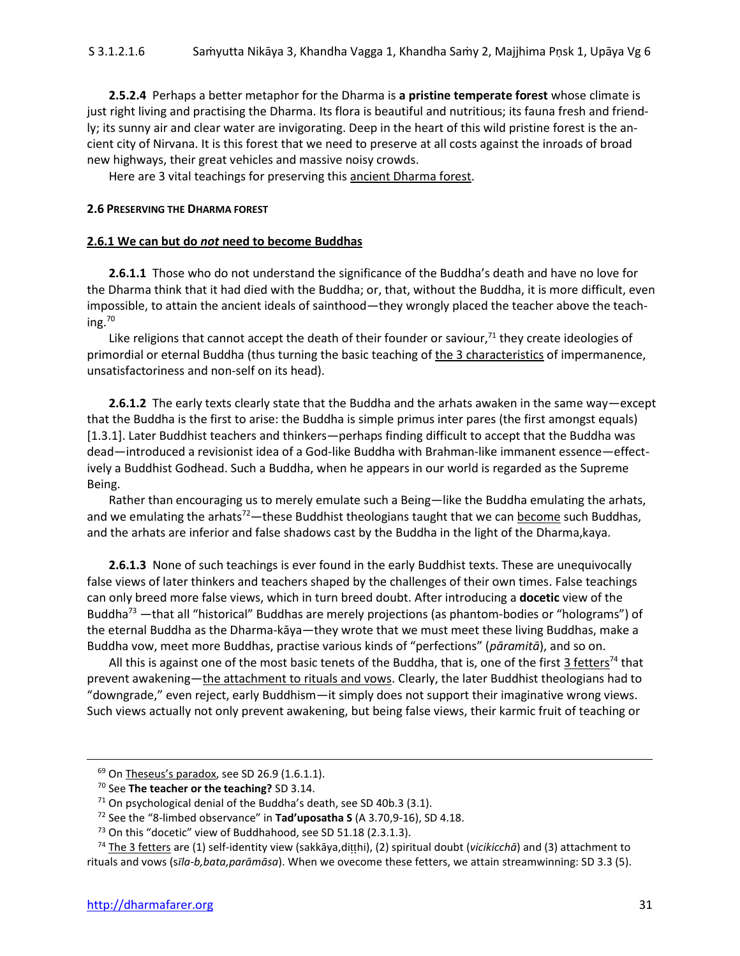**2.5.2.4** Perhaps a better metaphor for the Dharma is **a pristine temperate forest** whose climate is just right living and practising the Dharma. Its flora is beautiful and nutritious; its fauna fresh and friendly; its sunny air and clear water are invigorating. Deep in the heart of this wild pristine forest is the ancient city of Nirvana. It is this forest that we need to preserve at all costs against the inroads of broad new highways, their great vehicles and massive noisy crowds.

Here are 3 vital teachings for preserving this ancient Dharma forest.

#### **2.6 PRESERVING THE DHARMA FOREST**

#### **2.6.1 We can but do** *not* **need to become Buddhas**

**2.6.1.1** Those who do not understand the significance of the Buddha's death and have no love for the Dharma think that it had died with the Buddha; or, that, without the Buddha, it is more difficult, even impossible, to attain the ancient ideals of sainthood—they wrongly placed the teacher above the teaching. 70

Like religions that cannot accept the death of their founder or saviour, $71$  they create ideologies of primordial or eternal Buddha (thus turning the basic teaching of the 3 characteristics of impermanence, unsatisfactoriness and non-self on its head).

**2.6.1.2** The early texts clearly state that the Buddha and the arhats awaken in the same way—except that the Buddha is the first to arise: the Buddha is simple primus inter pares (the first amongst equals) [1.3.1]. Later Buddhist teachers and thinkers—perhaps finding difficult to accept that the Buddha was dead—introduced a revisionist idea of a God-like Buddha with Brahman-like immanent essence—effectively a Buddhist Godhead. Such a Buddha, when he appears in our world is regarded as the Supreme Being.

Rather than encouraging us to merely emulate such a Being—like the Buddha emulating the arhats, and we emulating the arhats<sup>72</sup>—these Buddhist theologians taught that we can become such Buddhas, and the arhats are inferior and false shadows cast by the Buddha in the light of the Dharma,kaya.

**2.6.1.3** None of such teachings is ever found in the early Buddhist texts. These are unequivocally false views of later thinkers and teachers shaped by the challenges of their own times. False teachings can only breed more false views, which in turn breed doubt. After introducing a **docetic** view of the Buddha<sup>73</sup> —that all "historical" Buddhas are merely projections (as phantom-bodies or "holograms") of the eternal Buddha as the Dharma-kāya—they wrote that we must meet these living Buddhas, make a Buddha vow, meet more Buddhas, practise various kinds of "perfections" (*pāramitā*), and so on.

All this is against one of the most basic tenets of the Buddha, that is, one of the first 3 fetters<sup>74</sup> that prevent awakening—the attachment to rituals and vows. Clearly, the later Buddhist theologians had to "downgrade," even reject, early Buddhism—it simply does not support their imaginative wrong views. Such views actually not only prevent awakening, but being false views, their karmic fruit of teaching or

 $69$  On Theseus's paradox, see SD 26.9 (1.6.1.1).

<sup>70</sup> See **The teacher or the teaching?** SD 3.14.

 $71$  On psychological denial of the Buddha's death, see SD 40b.3 (3.1).

<sup>72</sup> See the "8-limbed observance" in **Tad'uposatha S** (A 3.70,9-16), SD 4.18.

<sup>&</sup>lt;sup>73</sup> On this "docetic" view of Buddhahood, see SD 51.18 (2.3.1.3).

<sup>&</sup>lt;sup>74</sup> The 3 fetters are (1) self-identity view (sakkāya,ditthi), (2) spiritual doubt (*vicikicchā*) and (3) attachment to rituals and vows (s*la-b,bata,parāmāsa*). When we ovecome these fetters, we attain streamwinning: SD 3.3 (5).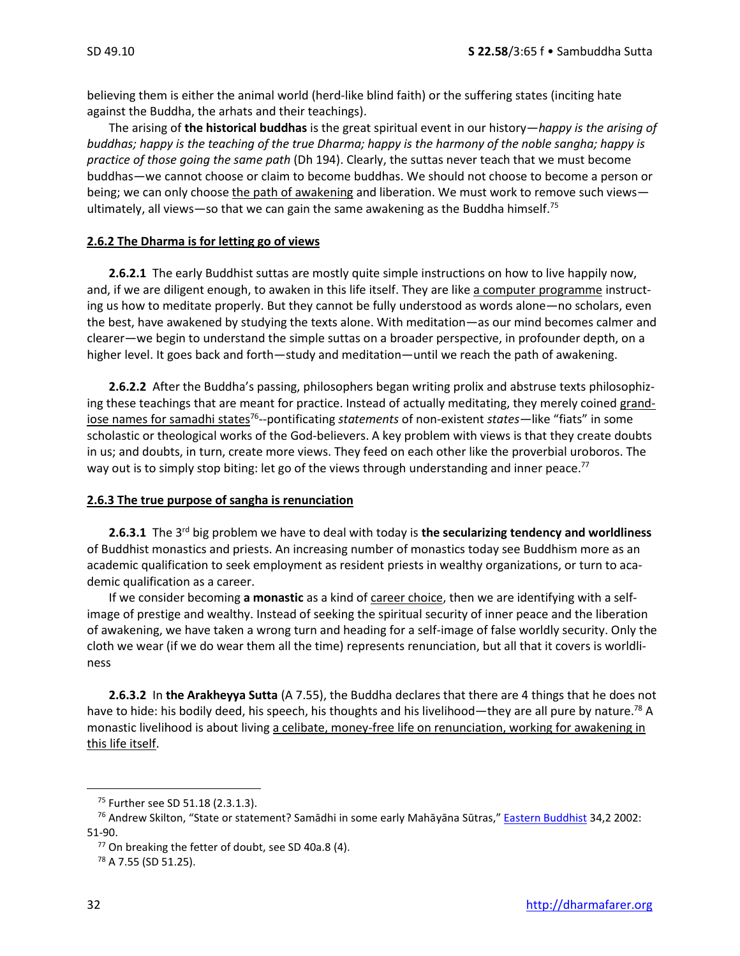believing them is either the animal world (herd-like blind faith) or the suffering states (inciting hate against the Buddha, the arhats and their teachings).

The arising of **the historical buddhas** is the great spiritual event in our history—*happy is the arising of buddhas; happy is the teaching of the true Dharma; happy is the harmony of the noble sangha; happy is practice of those going the same path* (Dh 194). Clearly, the suttas never teach that we must become buddhas—we cannot choose or claim to become buddhas. We should not choose to become a person or being; we can only choose the path of awakening and liberation. We must work to remove such views ultimately, all views-so that we can gain the same awakening as the Buddha himself.<sup>75</sup>

#### **2.6.2 The Dharma is for letting go of views**

**2.6.2.1** The early Buddhist suttas are mostly quite simple instructions on how to live happily now, and, if we are diligent enough, to awaken in this life itself. They are like a computer programme instructing us how to meditate properly. But they cannot be fully understood as words alone—no scholars, even the best, have awakened by studying the texts alone. With meditation—as our mind becomes calmer and clearer—we begin to understand the simple suttas on a broader perspective, in profounder depth, on a higher level. It goes back and forth—study and meditation—until we reach the path of awakening.

**2.6.2.2** After the Buddha's passing, philosophers began writing prolix and abstruse texts philosophizing these teachings that are meant for practice. Instead of actually meditating, they merely coined grandiose names for samadhi states<sup>76</sup>--pontificating *statements* of non-existent *states*—like "fiats" in some scholastic or theological works of the God-believers. A key problem with views is that they create doubts in us; and doubts, in turn, create more views. They feed on each other like the proverbial uroboros. The way out is to simply stop biting: let go of the views through understanding and inner peace.<sup>77</sup>

#### **2.6.3 The true purpose of sangha is renunciation**

**2.6.3.1** The 3<sup>rd</sup> big problem we have to deal with today is **the secularizing tendency and worldliness** of Buddhist monastics and priests. An increasing number of monastics today see Buddhism more as an academic qualification to seek employment as resident priests in wealthy organizations, or turn to academic qualification as a career.

If we consider becoming a monastic as a kind of career choice, then we are identifying with a selfimage of prestige and wealthy. Instead of seeking the spiritual security of inner peace and the liberation of awakening, we have taken a wrong turn and heading for a self-image of false worldly security. Only the cloth we wear (if we do wear them all the time) represents renunciation, but all that it covers is worldliness

**2.6.3.2** In **the Arakheyya Sutta** (A 7.55), the Buddha declares that there are 4 things that he does not have to hide: his bodily deed, his speech, his thoughts and his livelihood—they are all pure by nature.<sup>78</sup> A monastic livelihood is about living a celibate, money-free life on renunciation, working for awakening in this life itself.

<sup>75</sup> Further see SD 51.18 (2.3.1.3).

<sup>&</sup>lt;sup>76</sup> Andrew Skilton, "State or statement? Samādhi in some early Mahāyāna Sūtras," [Eastern Buddhist](https://www.researchgate.net/publication/291252412_State_or_statement_samadhi_in_some_early_Mahayana_Sutras) 34,2 2002: 51-90.

 $77$  On breaking the fetter of doubt, see SD 40a.8 (4).

<sup>78</sup> A 7.55 (SD 51.25).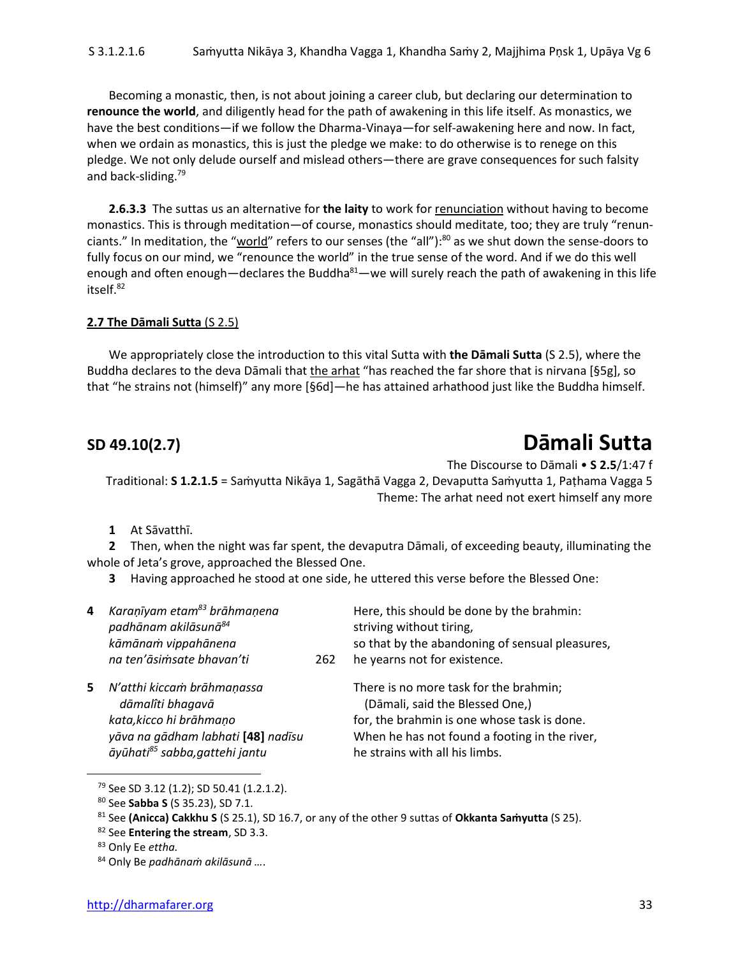Becoming a monastic, then, is not about joining a career club, but declaring our determination to **renounce the world**, and diligently head for the path of awakening in this life itself. As monastics, we have the best conditions—if we follow the Dharma-Vinaya—for self-awakening here and now. In fact, when we ordain as monastics, this is just the pledge we make: to do otherwise is to renege on this pledge. We not only delude ourself and mislead others—there are grave consequences for such falsity and back-sliding.<sup>79</sup>

**2.6.3.3** The suttas us an alternative for **the laity** to work for renunciation without having to become monastics. This is through meditation—of course, monastics should meditate, too; they are truly "renunciants." In meditation, the "<u>world</u>" refers to our senses (the "all"):<sup>80</sup> as we shut down the sense-doors to fully focus on our mind, we "renounce the world" in the true sense of the word. And if we do this well enough and often enough—declares the Buddha $^{81}$ —we will surely reach the path of awakening in this life itself.<sup>82</sup>

#### **2.7 The Dāmali Sutta** (S 2.5)

We appropriately close the introduction to this vital Sutta with **the Dāmali Sutta** (S 2.5), where the Buddha declares to the deva Dāmali that the arhat "has reached the far shore that is nirvana [§5g], so that "he strains not (himself)" any more [§6d]—he has attained arhathood just like the Buddha himself.

## **SD 49.10(2.7) Dāmali Sutta**

The Discourse to Dāmali • **S 2.5**/1:47 f

Traditional: **S 1.2.1.5** = Saṁyutta Nikāya 1, Sagāthā Vagga 2, Devaputta Saṁyutta 1, Paṭhama Vagga 5 Theme: The arhat need not exert himself any more

**1** At Sāvatthī.

**2** Then, when the night was far spent, the devaputra Dāmali, of exceeding beauty, illuminating the whole of Jeta's grove, approached the Blessed One.

**3** Having approached he stood at one side, he uttered this verse before the Blessed One:

| 4  | Karanīyam etam <sup>83</sup> brāhmaņena<br>padhānam akilāsunā <sup>84</sup><br>kāmānam vippahānena                                                            |     | Here, this should be done by the brahmin:<br>striving without tiring,<br>so that by the abandoning of sensual pleasures,                                                                                    |
|----|---------------------------------------------------------------------------------------------------------------------------------------------------------------|-----|-------------------------------------------------------------------------------------------------------------------------------------------------------------------------------------------------------------|
|    | na ten'āsimsate bhavan'ti                                                                                                                                     | 262 | he yearns not for existence.                                                                                                                                                                                |
| 5. | N'atthi kiccam brāhmaņassa<br>dāmalîti bhagavā<br>kata, kicco hi brāhmaņo<br>yāva na gādham labhati [48] nadīsu<br>āyūhati <sup>85</sup> sabba, gattehi jantu |     | There is no more task for the brahmin;<br>(Dāmali, said the Blessed One,)<br>for, the brahmin is one whose task is done.<br>When he has not found a footing in the river,<br>he strains with all his limbs. |

<sup>79</sup> See SD 3.12 (1.2); SD 50.41 (1.2.1.2).

<sup>80</sup> See **Sabba S** (S 35.23), SD 7.1.

<sup>81</sup> See **(Anicca) Cakkhu S** (S 25.1), SD 16.7, or any of the other 9 suttas of **Okkanta Saṁyutta** (S 25).

<sup>82</sup> See **Entering the stream**, SD 3.3.

<sup>83</sup> Only Ee *ettha.*

<sup>84</sup> Only Be *padhānaṁ akilāsunā …*.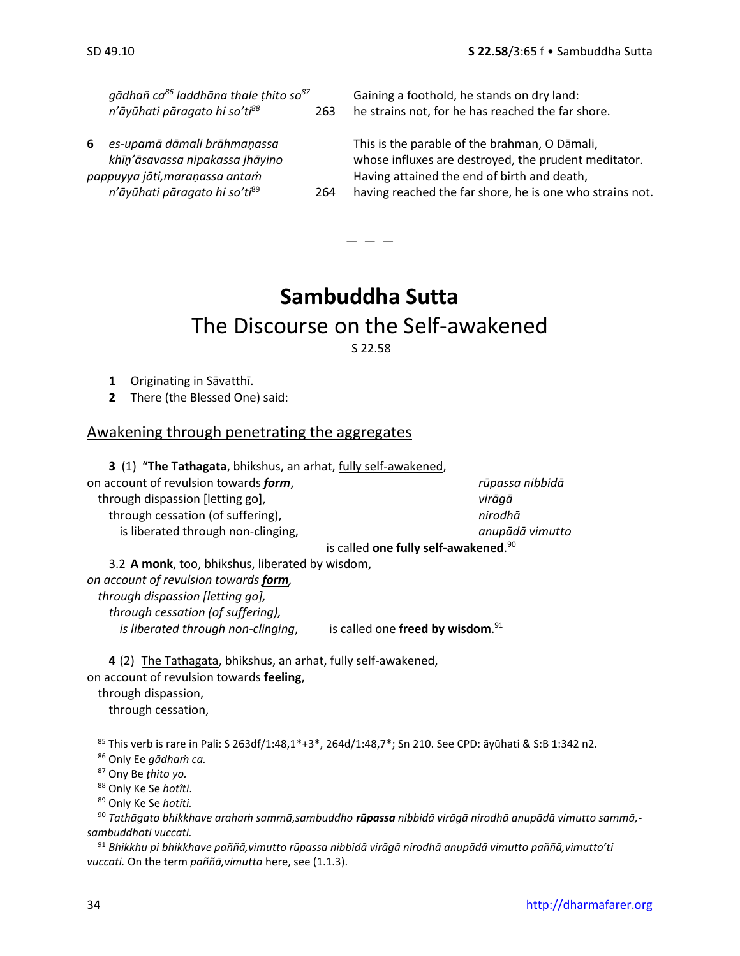|   | gādhañ ca <sup>86</sup> laddhāna thale thito so <sup>87</sup>                                                                    |     | Gaining a foothold, he stands on dry land:                                                                                                                                                                       |
|---|----------------------------------------------------------------------------------------------------------------------------------|-----|------------------------------------------------------------------------------------------------------------------------------------------------------------------------------------------------------------------|
|   | n'āyūhati pāragato hi so'ti88                                                                                                    | 263 | he strains not, for he has reached the far shore.                                                                                                                                                                |
| 6 | es-upamā dāmali brāhmaņassa<br>khīņ'āsavassa nipakassa įhāyino<br>pappuyya jāti,maraņassa antam<br>n'āyūhati pāragato hi so'ti89 | 264 | This is the parable of the brahman, O Dāmali,<br>whose influxes are destroyed, the prudent meditator.<br>Having attained the end of birth and death,<br>having reached the far shore, he is one who strains not. |
|   |                                                                                                                                  |     |                                                                                                                                                                                                                  |

### **Sambuddha Sutta** The Discourse on the Self-awakened

 $-$ 

S 22.58

- **1** Originating in Sāvatthī.
- **2** There (the Blessed One) said:

### Awakening through penetrating the aggregates

**3** (1) "**The Tathagata**, bhikshus, an arhat, fully self-awakened, on account of revulsion towards *form*, *rūpassa nibbidā* through dispassion [letting go], *virāgā* through cessation (of suffering), *nirodhā* is liberated through non-clinging, *anupādā vimutto* is called **one fully self-awakened**. 90

3.2 **A monk**, too, bhikshus, liberated by wisdom, *on account of revulsion towards form, through dispassion [letting go], through cessation (of suffering), is liberated through non-clinging,* is called one freed by wisdom.<sup>91</sup>

**4** (2) The Tathagata, bhikshus, an arhat, fully self-awakened, on account of revulsion towards **feeling**,

through dispassion,

through cessation,

<sup>85</sup> This verb is rare in Pali: S 263df/1:48,1\*+3\*, 264d/1:48,7\*; Sn 210. See CPD: āyūhati & S:B 1:342 n2.

<sup>86</sup> Only Ee *gādhaṁ ca.*

<sup>87</sup> Ony Be *ṭhito yo.*

<sup>88</sup> Only Ke Se *hotîti*.

<sup>89</sup> Only Ke Se *hotîti.*

<sup>90</sup> *Tathāgato bhikkhave arahaṁ sammā,sambuddho rūpassa nibbidā virāgā nirodhā anupādā vimutto sammā, sambuddhoti vuccati.*

<sup>91</sup> *Bhikkhu pi bhikkhave paññā,vimutto rūpassa nibbidā virāgā nirodhā anupādā vimutto paññā,vimutto'ti vuccati.* On the term *paññā,vimutta* here, see (1.1.3).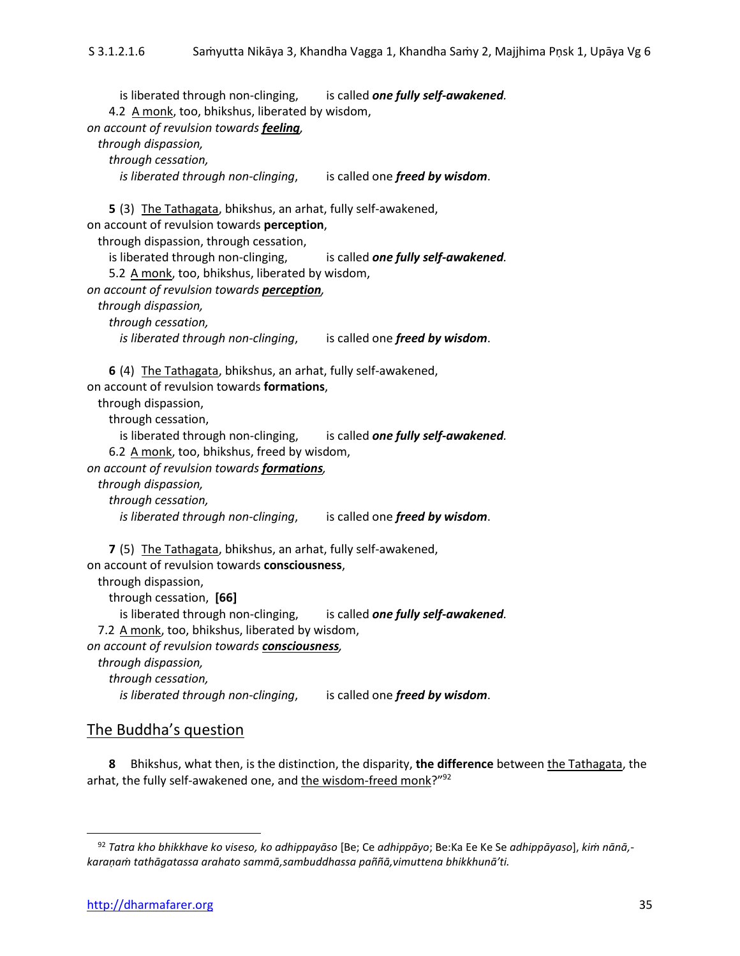is liberated through non-clinging, is called **one fully self-awakened**. 4.2 A monk, too, bhikshus, liberated by wisdom, *on account of revulsion towards feeling, through dispassion, through cessation, is liberated through non-clinging*, is called one *freed by wisdom*. **5** (3) The Tathagata, bhikshus, an arhat, fully self-awakened, on account of revulsion towards **perception**, through dispassion, through cessation, is liberated through non-clinging, is called **one fully self-awakened**. 5.2 A monk, too, bhikshus, liberated by wisdom, *on account of revulsion towards perception, through dispassion, through cessation, is liberated through non-clinging*, is called one *freed by wisdom*. **6** (4) The Tathagata, bhikshus, an arhat, fully self-awakened, on account of revulsion towards **formations**, through dispassion, through cessation, is liberated through non-clinging, is called **one fully self-awakened**. 6.2 A monk, too, bhikshus, freed by wisdom, *on account of revulsion towards formations, through dispassion, through cessation, is liberated through non-clinging*, is called one *freed by wisdom*. **7** (5) The Tathagata, bhikshus, an arhat, fully self-awakened, on account of revulsion towards **consciousness**, through dispassion, through cessation, **[66]** is liberated through non-clinging, is called **one fully self-awakened**. 7.2 A monk, too, bhikshus, liberated by wisdom, *on account of revulsion towards consciousness, through dispassion, through cessation, is liberated through non-clinging*, is called one *freed by wisdom*.

#### The Buddha's question

**8** Bhikshus, what then, is the distinction, the disparity, **the difference** between the Tathagata, the arhat, the fully self-awakened one, and the wisdom-freed monk?"<sup>92</sup>

<sup>92</sup> *Tatra kho bhikkhave ko viseso, ko adhippayāso* [Be; Ce *adhippāyo*; Be:Ka Ee Ke Se *adhippāyaso*], *kiṁ nānā, karaṇaṁ tathāgatassa arahato sammā,sambuddhassa paññā,vimuttena bhikkhunā'ti.*